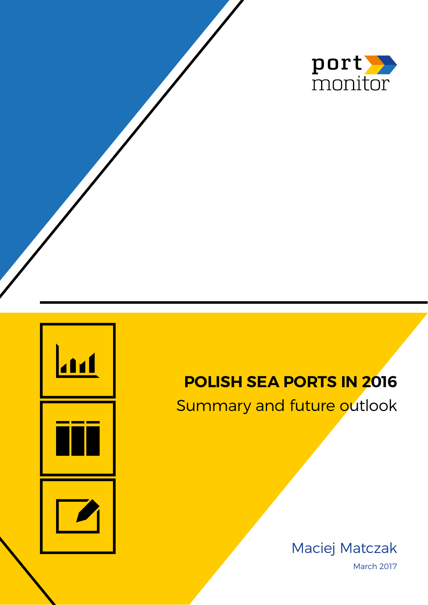

# **Polish sea ports in 2016**

Summary and future outlook

Maciej Matczak March 2017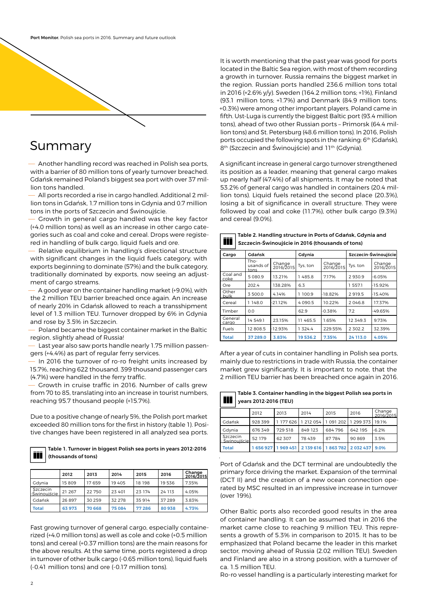

# Summary

— Another handling record was reached in Polish sea ports, with a barrier of 80 million tons of yearly turnover breached. Gdańsk remained Poland's biggest sea port with over 37 million tons handled.

— All ports recorded a rise in cargo handled. Additional 2 million tons in Gdańsk, 1.7 million tons in Gdynia and 0.7 million tons in the ports of Szczecin and Świnoujście.

— Growth in general cargo handled was the key factor (+4.0 million tons) as well as an increase in other cargo categories such as coal and coke and cereal. Drops were registered in handling of bulk cargo, liquid fuels and ore.

— Relative equilibrium in handling's directional structure with significant changes in the liquid fuels category, with exports beginning to dominate (57%) and the bulk category, traditionally dominated by exports, now seeing an adjustment of cargo streams.

— A good year on the container handling market (+9.0%), with the 2 million TEU barrier breached once again. An increase of nearly 20% in Gdańsk allowed to reach a transshipment level of 1.3 million TEU. Turnover dropped by 6% in Gdynia and rose by 3.5% in Szczecin.

— Poland became the biggest container market in the Baltic region, slightly ahead of Russia!

Last year also saw ports handle nearly 1.75 million passengers (+4.4%) as part of regular ferry services.

— In 2016 the turnover of ro-ro freight units increased by 15.7%, reaching 622 thousand. 399 thousand passenger cars (4.7%) were handled in the ferry traffic.

— Growth in cruise traffic in 2016. Number of calls grew from 70 to 85, translating into an increase in tourist numbers, reaching 95.7 thousand people (+15.7%).

Due to a positive change of nearly 5%, the Polish port market exceeded 80 million tons for the first in history (table 1). Positive changes have been registered in all analyzed sea ports.

### Table 1. Turnover in biggest Polish sea ports in years 2012-2016 (thousands of tons)

|                          | 2012   | 2013    | 2014     | 2015   | 2016   | Change<br>2016/2015 |
|--------------------------|--------|---------|----------|--------|--------|---------------------|
| Gdvnia                   | 15809  | 17659   | 19405    | 18 198 | 19536  | 7.35%               |
| Szczecin<br>-Swinouiście | 21 267 | 22750   | 23 401   | 23 174 | 24 113 | 4.05%               |
| Gdańsk                   | 26897  | 30 25 9 | 32 2 7 8 | 35 914 | 37 289 | 3.83%               |
| <b>Total</b>             | 63 973 | 70 668  | 75084    | 77286  | 80938  | 4.73%               |

Fast growing turnover of general cargo, especially containerized (+4.0 million tons) as well as cole and coke (+0.5 million tons) and cereal (+0.37 million tons) are the main reasons for the above results. At the same time, ports registered a drop in turnover of other bulk cargo (-0.65 million tons), liquid fuels (-0.41 million tons) and ore (-0.17 million tons).

It is worth mentioning that the past year was good for ports located in the Baltic Sea region, with most of them recording a growth in turnover. Russia remains the biggest market in the region. Russian ports handled 236.6 million tons total in 2016 (+2.6% y/y). Sweden (164.2 million tons; +1%), Finland (93.1 million tons; +1.7%) and Denmark (84.9 million tons; +0.3%) were among other important players. Poland came in fifth. Ust-Luga is currently the biggest Baltic port (93.4 million tons), ahead of two other Russian ports – Primorsk (64.4 million tons) and St. Petersburg (48.6 million tons). In 2016, Polish ports occupied the following spots in the ranking: 6<sup>th</sup> (Gdańsk), 8<sup>th</sup> (Szczecin and Świnoujście) and 11<sup>th</sup> (Gdynia).

A significant increase in general cargo turnover strengthened its position as a leader, meaning that general cargo makes up nearly half (47.4%) of all shipments. It may be noted that 53.2% of general cargo was handled in containers (20.4 million tons). Liquid fuels retained the second place (20.3%), losing a bit of significance in overall structure. They were followed by coal and coke (11.7%), other bulk cargo (9.3%) and cereal (9.0%).

Table 2. Handling structure in Ports of Gdańsk, Gdynia and

Szczecin-Świnoujście in 2016 (thousands of tons)

| Cargo            | Gdańsk                    |                     | Gdynia   |                     | Szczecin-Świnoujście |                     |  |
|------------------|---------------------------|---------------------|----------|---------------------|----------------------|---------------------|--|
|                  | Tho-<br>usands of<br>tons | Change<br>2016/2015 | Tys, ton | Change<br>2016/2015 | Tys. ton             | Change<br>2016/2015 |  |
| Coal and<br>coke | 5 080.9                   | 13.21%              | 1485.8   | 7.17%               | 2930.9               | $-6.05%$            |  |
| Ore <sub></sub>  | 202.4                     | 138.28%             | 6.3      |                     | 1 557.1              | $-15.92%$           |  |
| Other<br>bulk    | 3 500.0                   | 4.14%               | 1 100.9  | $-18.82%$           | 2919.5               | $-15.40%$           |  |
| Cereal           | 148.0                     | $-21.12%$           | 4090.5   | 10.22%              | 2046.8               | 17.37%              |  |
| Timber           | 0.0                       |                     | 62.9     | $-0.38%$            | 7.2                  | 49.65%              |  |
| General<br>cargo | 14 549.1                  | 23.15%              | 11 465.5 | 1.65%               | 12 349 3             | 9.73%               |  |
| Fuels            | 12808.5                   | $-12.93%$           | 1 324.4  | 229.55%             | 2 302.2              | 32.39%              |  |
| <b>Total</b>     | 37 289.0                  | 3.83%               | 19536.2  | 7.35%               | 24 113.0             | 4.05%               |  |

After a year of cuts in container handling in Polish sea ports, mainly due to restrictions in trade with Russia, the container market grew significantly. It is important to note, that the 2 million TEU barrier has been breached once again in 2016.

| $\sim$ | $\Box$ Table 3. Container handling in the biggest Polish sea ports in |
|--------|-----------------------------------------------------------------------|
|        | $\overline{\bullet}$ years 2012-2016 (TEU)                            |

|                           | 2012    | 2013    | 2014                  | 2015                                                   | 2016                  | Change<br>2016/2015 |
|---------------------------|---------|---------|-----------------------|--------------------------------------------------------|-----------------------|---------------------|
| Gdańsk                    | 928 399 |         | 1 177 626 1 212 054 1 |                                                        | 1 091 202 1 299 373 1 | 191%                |
| Gdynia                    | 676 349 | 729 518 | 849 123               | 684796                                                 | 642 195               | $-6.2%$             |
| Szczecin<br>- Swinouiście | 52 179  | 62 307  | 78 439                | 87784                                                  | 90869                 | 3.5%                |
| <b>Total</b>              |         |         |                       | 1 656 927 1 969 451 2 139 616 1 863 782 2 032 437 9.0% |                       |                     |

.

Port of Gdańsk and the DCT terminal are undoubtedly the primary force driving the market. Expansion of the terminal (DCT II) and the creation of a new ocean connection operated by MSC resulted in an impressive increase in turnover (over 19%).

Other Baltic ports also recorded good results in the area of container handling. It can be assumed that in 2016 the market came close to reaching 9 million TEU. This represents a growth of 5.3% in comparison to 2015. It has to be emphasized that Poland became the leader in this market sector, moving ahead of Russia (2.02 million TEU). Sweden and Finland are also in a strong position, with a turnover of ca. 1.5 million TEU.

Ro-ro vessel handling is a particularly interesting market for